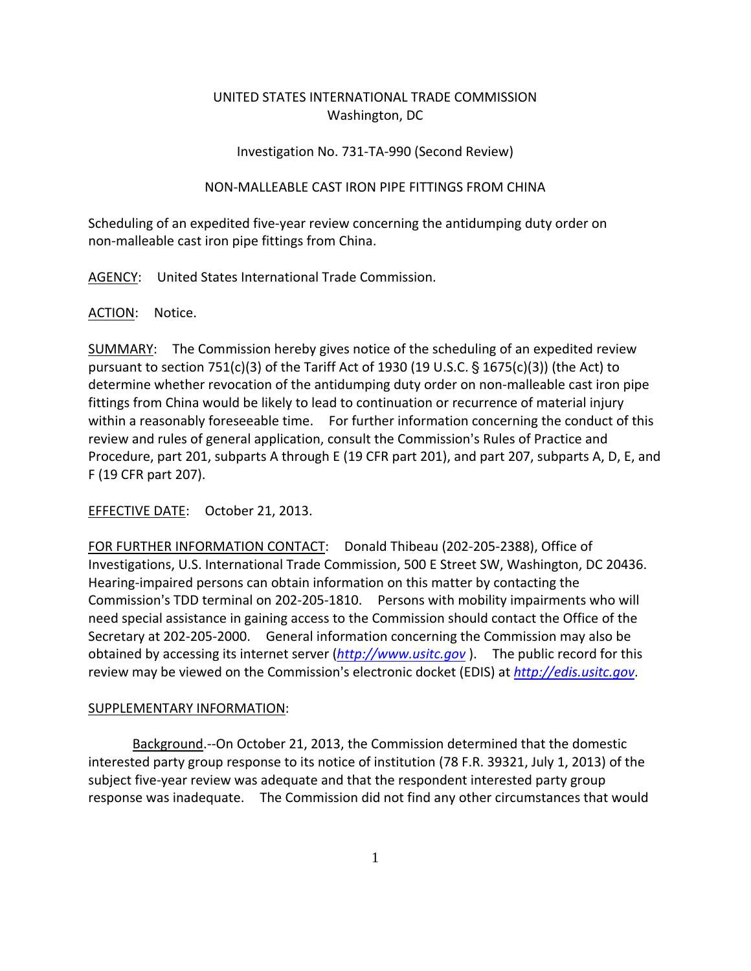# UNITED STATES INTERNATIONAL TRADE COMMISSION Washington, DC

# Investigation No. 731‐TA‐990 (Second Review)

# NON‐MALLEABLE CAST IRON PIPE FITTINGS FROM CHINA

Scheduling of an expedited five‐year review concerning the antidumping duty order on non‐malleable cast iron pipe fittings from China.

AGENCY: United States International Trade Commission.

# ACTION: Notice.

SUMMARY: The Commission hereby gives notice of the scheduling of an expedited review pursuant to section 751(c)(3) of the Tariff Act of 1930 (19 U.S.C.  $\S$  1675(c)(3)) (the Act) to determine whether revocation of the antidumping duty order on non‐malleable cast iron pipe fittings from China would be likely to lead to continuation or recurrence of material injury within a reasonably foreseeable time. For further information concerning the conduct of this review and rules of general application, consult the Commission's Rules of Practice and Procedure, part 201, subparts A through E (19 CFR part 201), and part 207, subparts A, D, E, and F (19 CFR part 207).

EFFECTIVE DATE: October 21, 2013.

FOR FURTHER INFORMATION CONTACT: Donald Thibeau (202‐205‐2388), Office of Investigations, U.S. International Trade Commission, 500 E Street SW, Washington, DC 20436. Hearing‐impaired persons can obtain information on this matter by contacting the Commission's TDD terminal on 202-205-1810. Persons with mobility impairments who will need special assistance in gaining access to the Commission should contact the Office of the Secretary at 202‐205‐2000. General information concerning the Commission may also be obtained by accessing its internet server (*http://www.usitc.gov* ). The public record for this review may be viewed on the Commission's electronic docket (EDIS) at *http://edis.usitc.gov*.

# SUPPLEMENTARY INFORMATION:

Background.‐‐On October 21, 2013, the Commission determined that the domestic interested party group response to its notice of institution (78 F.R. 39321, July 1, 2013) of the subject five‐year review was adequate and that the respondent interested party group response was inadequate. The Commission did not find any other circumstances that would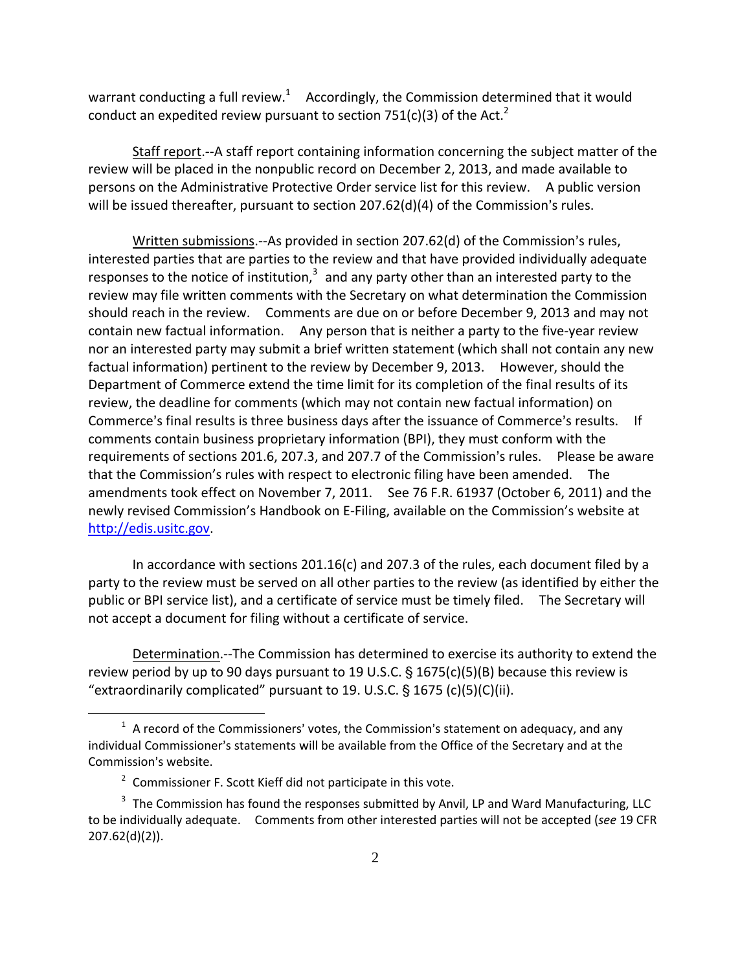warrant conducting a full review.<sup>1</sup> Accordingly, the Commission determined that it would conduct an expedited review pursuant to section 751(c)(3) of the Act.<sup>2</sup>

Staff report.‐‐A staff report containing information concerning the subject matter of the review will be placed in the nonpublic record on December 2, 2013, and made available to persons on the Administrative Protective Order service list for this review. A public version will be issued thereafter, pursuant to section  $207.62(d)(4)$  of the Commission's rules.

Written submissions.--As provided in section 207.62(d) of the Commission's rules, interested parties that are parties to the review and that have provided individually adequate responses to the notice of institution, $3$  and any party other than an interested party to the review may file written comments with the Secretary on what determination the Commission should reach in the review. Comments are due on or before December 9, 2013 and may not contain new factual information. Any person that is neither a party to the five-year review nor an interested party may submit a brief written statement (which shall not contain any new factual information) pertinent to the review by December 9, 2013. However, should the Department of Commerce extend the time limit for its completion of the final results of its review, the deadline for comments (which may not contain new factual information) on Commerce's final results is three business days after the issuance of Commerce's results. If comments contain business proprietary information (BPI), they must conform with the requirements of sections 201.6, 207.3, and 207.7 of the Commission's rules. Please be aware that the Commission's rules with respect to electronic filing have been amended. The amendments took effect on November 7, 2011. See 76 F.R. 61937 (October 6, 2011) and the newly revised Commission's Handbook on E‐Filing, available on the Commission's website at http://edis.usitc.gov.

In accordance with sections 201.16(c) and 207.3 of the rules, each document filed by a party to the review must be served on all other parties to the review (as identified by either the public or BPI service list), and a certificate of service must be timely filed. The Secretary will not accept a document for filing without a certificate of service.

Determination.‐‐The Commission has determined to exercise its authority to extend the review period by up to 90 days pursuant to 19 U.S.C.  $\S$  1675(c)(5)(B) because this review is "extraordinarily complicated" pursuant to 19. U.S.C.  $\S$  1675 (c)(5)(C)(ii).

 $\overline{a}$ 

 $1$  A record of the Commissioners' votes, the Commission's statement on adequacy, and any individual Commissioner's statements will be available from the Office of the Secretary and at the Commission's website.

<sup>&</sup>lt;sup>2</sup> Commissioner F. Scott Kieff did not participate in this vote.

 $3$  The Commission has found the responses submitted by Anvil, LP and Ward Manufacturing, LLC to be individually adequate. Comments from other interested parties will not be accepted (*see* 19 CFR 207.62(d)(2)).